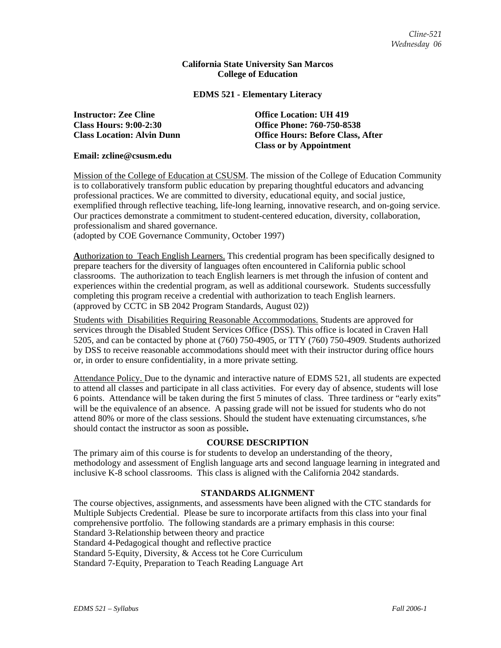## **California State University San Marcos College of Education**

## **EDMS 521 - Elementary Literacy**

**Instructor: Zee Cline Office Location: UH 419** 

**Class Hours: 9:00-2:30 Office Phone: 760-750-8538 Class Location: Alvin Dunn Office Hours: Before Class, After Class or by Appointment** 

**Email: zcline@csusm.edu** 

Mission of the College of Education at CSUSM. The mission of the College of Education Community is to collaboratively transform public education by preparing thoughtful educators and advancing professional practices. We are committed to diversity, educational equity, and social justice, exemplified through reflective teaching, life-long learning, innovative research, and on-going service. Our practices demonstrate a commitment to student-centered education, diversity, collaboration, professionalism and shared governance.

(adopted by COE Governance Community, October 1997)

**A**uthorization to Teach English Learners. This credential program has been specifically designed to prepare teachers for the diversity of languages often encountered in California public school classrooms. The authorization to teach English learners is met through the infusion of content and experiences within the credential program, as well as additional coursework. Students successfully completing this program receive a credential with authorization to teach English learners. (approved by CCTC in SB 2042 Program Standards, August 02))

Students with Disabilities Requiring Reasonable Accommodations. Students are approved for services through the Disabled Student Services Office (DSS). This office is located in Craven Hall 5205, and can be contacted by phone at (760) 750-4905, or TTY (760) 750-4909. Students authorized by DSS to receive reasonable accommodations should meet with their instructor during office hours or, in order to ensure confidentiality, in a more private setting.

Attendance Policy. Due to the dynamic and interactive nature of EDMS 521, all students are expected to attend all classes and participate in all class activities. For every day of absence, students will lose 6 points. Attendance will be taken during the first 5 minutes of class. Three tardiness or "early exits" will be the equivalence of an absence. A passing grade will not be issued for students who do not attend 80% or more of the class sessions. Should the student have extenuating circumstances, s/he should contact the instructor as soon as possible**.**

## **COURSE DESCRIPTION**

The primary aim of this course is for students to develop an understanding of the theory, methodology and assessment of English language arts and second language learning in integrated and inclusive K-8 school classrooms. This class is aligned with the California 2042 standards.

# **STANDARDS ALIGNMENT**

The course objectives, assignments, and assessments have been aligned with the CTC standards for Multiple Subjects Credential. Please be sure to incorporate artifacts from this class into your final comprehensive portfolio. The following standards are a primary emphasis in this course: Standard 3-Relationship between theory and practice Standard 4-Pedagogical thought and reflective practice Standard 5-Equity, Diversity, & Access tot he Core Curriculum Standard 7-Equity, Preparation to Teach Reading Language Art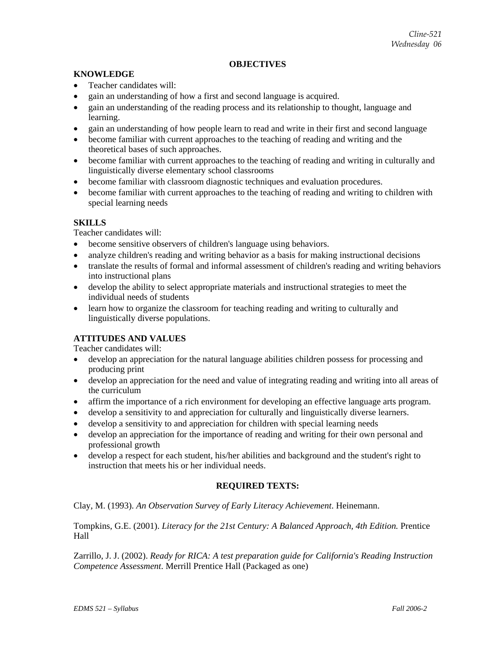# **OBJECTIVES**

# **KNOWLEDGE**

- Teacher candidates will:
- gain an understanding of how a first and second language is acquired.
- gain an understanding of the reading process and its relationship to thought, language and learning.
- gain an understanding of how people learn to read and write in their first and second language
- become familiar with current approaches to the teaching of reading and writing and the theoretical bases of such approaches.
- become familiar with current approaches to the teaching of reading and writing in culturally and linguistically diverse elementary school classrooms
- become familiar with classroom diagnostic techniques and evaluation procedures.
- become familiar with current approaches to the teaching of reading and writing to children with special learning needs

# **SKILLS**

Teacher candidates will:

- become sensitive observers of children's language using behaviors.
- analyze children's reading and writing behavior as a basis for making instructional decisions
- translate the results of formal and informal assessment of children's reading and writing behaviors into instructional plans
- develop the ability to select appropriate materials and instructional strategies to meet the individual needs of students
- learn how to organize the classroom for teaching reading and writing to culturally and linguistically diverse populations.

# **ATTITUDES AND VALUES**

Teacher candidates will:

- develop an appreciation for the natural language abilities children possess for processing and producing print
- develop an appreciation for the need and value of integrating reading and writing into all areas of the curriculum
- affirm the importance of a rich environment for developing an effective language arts program.
- develop a sensitivity to and appreciation for culturally and linguistically diverse learners.
- develop a sensitivity to and appreciation for children with special learning needs
- develop an appreciation for the importance of reading and writing for their own personal and professional growth
- develop a respect for each student, his/her abilities and background and the student's right to instruction that meets his or her individual needs.

# **REQUIRED TEXTS:**

Clay, M. (1993). *An Observation Survey of Early Literacy Achievement*. Heinemann.

Tompkins, G.E. (2001). *Literacy for the 21st Century: A Balanced Approach, 4th Edition.* Prentice Hall

Zarrillo, J. J. (2002). *Ready for RICA: A test preparation guide for California's Reading Instruction Competence Assessment*. Merrill Prentice Hall (Packaged as one)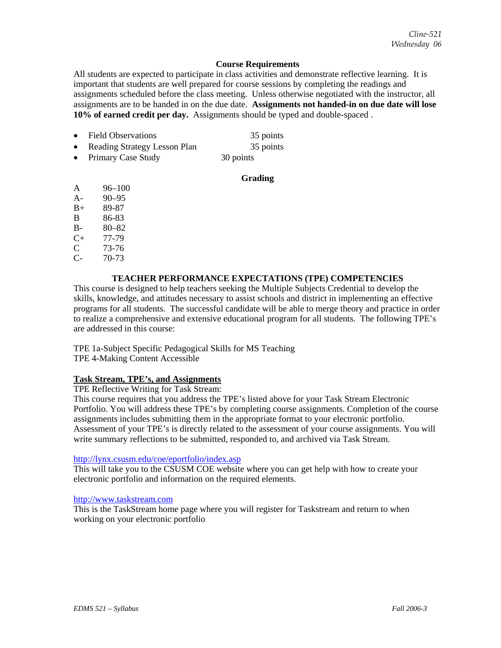# **Course Requirements**

All students are expected to participate in class activities and demonstrate reflective learning. It is important that students are well prepared for course sessions by completing the readings and assignments scheduled before the class meeting. Unless otherwise negotiated with the instructor, all assignments are to be handed in on the due date. **Assignments not handed-in on due date will lose 10% of earned credit per day.** Assignments should be typed and double-spaced .

• Field Observations 35 points **Reading Strategy Lesson Plan** 35 points Primary Case Study 30 points

# **Grading**

- A 96–100
- A- 90–95
- B+ 89-87
- B 86-83
- B- 80–82
- C+ 77-79
- C 73-76
- C- 70-73

# **TEACHER PERFORMANCE EXPECTATIONS (TPE) COMPETENCIES**

This course is designed to help teachers seeking the Multiple Subjects Credential to develop the skills, knowledge, and attitudes necessary to assist schools and district in implementing an effective programs for all students. The successful candidate will be able to merge theory and practice in order to realize a comprehensive and extensive educational program for all students. The following TPE's are addressed in this course:

TPE 1a-Subject Specific Pedagogical Skills for MS Teaching TPE 4-Making Content Accessible

# **Task Stream, TPE's, and Assignments**

TPE Reflective Writing for Task Stream:

This course requires that you address the TPE's listed above for your Task Stream Electronic Portfolio. You will address these TPE's by completing course assignments. Completion of the course assignments includes submitting them in the appropriate format to your electronic portfolio. Assessment of your TPE's is directly related to the assessment of your course assignments. You will write summary reflections to be submitted, responded to, and archived via Task Stream.

# http://lynx.csusm.edu/coe/eportfolio/index.asp

This will take you to the CSUSM COE website where you can get help with how to create your electronic portfolio and information on the required elements.

## http://www.taskstream.com

This is the TaskStream home page where you will register for Taskstream and return to when working on your electronic portfolio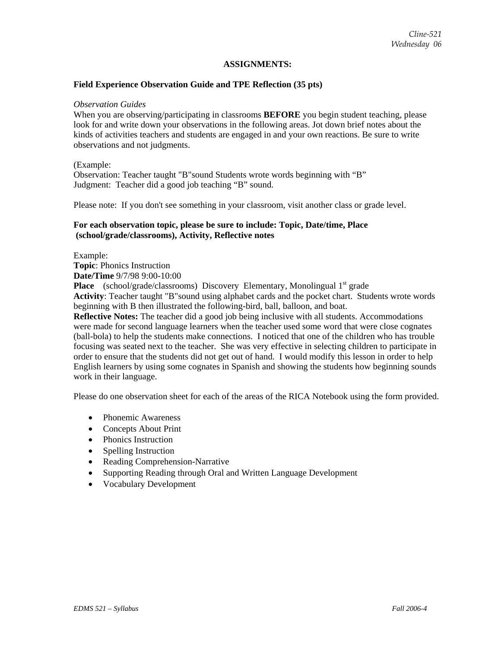## **ASSIGNMENTS:**

## **Field Experience Observation Guide and TPE Reflection (35 pts)**

#### *Observation Guides*

When you are observing/participating in classrooms **BEFORE** you begin student teaching, please look for and write down your observations in the following areas. Jot down brief notes about the kinds of activities teachers and students are engaged in and your own reactions. Be sure to write observations and not judgments.

### (Example:

Observation: Teacher taught "B"sound Students wrote words beginning with "B" Judgment: Teacher did a good job teaching "B" sound.

Please note: If you don't see something in your classroom, visit another class or grade level.

## **For each observation topic, please be sure to include: Topic, Date/time, Place (school/grade/classrooms), Activity, Reflective notes**

Example:

**Topic**: Phonics Instruction **Date/Time** 9/7/98 9:00-10:00

**Place** (school/grade/classrooms) Discovery Elementary, Monolingual 1<sup>st</sup> grade **Activity**: Teacher taught "B"sound using alphabet cards and the pocket chart. Students wrote words beginning with B then illustrated the following-bird, ball, balloon, and boat.

**Reflective Notes:** The teacher did a good job being inclusive with all students. Accommodations were made for second language learners when the teacher used some word that were close cognates (ball-bola) to help the students make connections. I noticed that one of the children who has trouble focusing was seated next to the teacher. She was very effective in selecting children to participate in order to ensure that the students did not get out of hand. I would modify this lesson in order to help English learners by using some cognates in Spanish and showing the students how beginning sounds work in their language.

Please do one observation sheet for each of the areas of the RICA Notebook using the form provided.

- Phonemic Awareness
- Concepts About Print
- Phonics Instruction
- Spelling Instruction
- Reading Comprehension-Narrative
- Supporting Reading through Oral and Written Language Development
- Vocabulary Development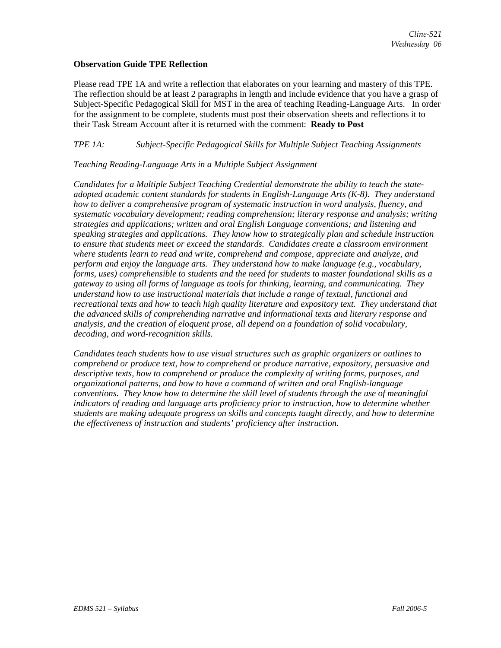# **Observation Guide TPE Reflection**

Please read TPE 1A and write a reflection that elaborates on your learning and mastery of this TPE. The reflection should be at least 2 paragraphs in length and include evidence that you have a grasp of Subject-Specific Pedagogical Skill for MST in the area of teaching Reading-Language Arts. In order for the assignment to be complete, students must post their observation sheets and reflections it to their Task Stream Account after it is returned with the comment: **Ready to Post**

# *TPE 1A: Subject-Specific Pedagogical Skills for Multiple Subject Teaching Assignments*

# *Teaching Reading-Language Arts in a Multiple Subject Assignment*

*Candidates for a Multiple Subject Teaching Credential demonstrate the ability to teach the stateadopted academic content standards for students in English-Language Arts (K-8). They understand how to deliver a comprehensive program of systematic instruction in word analysis, fluency, and systematic vocabulary development; reading comprehension; literary response and analysis; writing strategies and applications; written and oral English Language conventions; and listening and speaking strategies and applications. They know how to strategically plan and schedule instruction to ensure that students meet or exceed the standards. Candidates create a classroom environment where students learn to read and write, comprehend and compose, appreciate and analyze, and perform and enjoy the language arts. They understand how to make language (e.g., vocabulary, forms, uses) comprehensible to students and the need for students to master foundational skills as a gateway to using all forms of language as tools for thinking, learning, and communicating. They understand how to use instructional materials that include a range of textual, functional and recreational texts and how to teach high quality literature and expository text. They understand that the advanced skills of comprehending narrative and informational texts and literary response and analysis, and the creation of eloquent prose, all depend on a foundation of solid vocabulary, decoding, and word-recognition skills.* 

*Candidates teach students how to use visual structures such as graphic organizers or outlines to comprehend or produce text, how to comprehend or produce narrative, expository, persuasive and descriptive texts, how to comprehend or produce the complexity of writing forms, purposes, and organizational patterns, and how to have a command of written and oral English-language conventions. They know how to determine the skill level of students through the use of meaningful indicators of reading and language arts proficiency prior to instruction, how to determine whether students are making adequate progress on skills and concepts taught directly, and how to determine the effectiveness of instruction and students' proficiency after instruction.*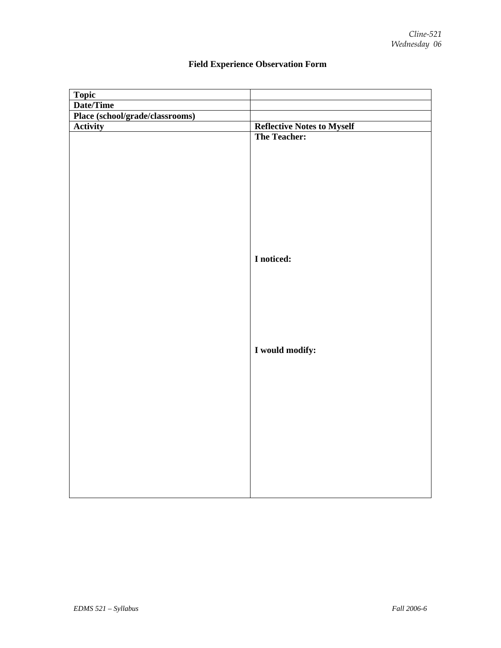| <b>Reflective Notes to Myself</b> |
|-----------------------------------|
| <b>The Teacher:</b>               |
| I noticed:                        |
| I would modify:                   |
|                                   |
|                                   |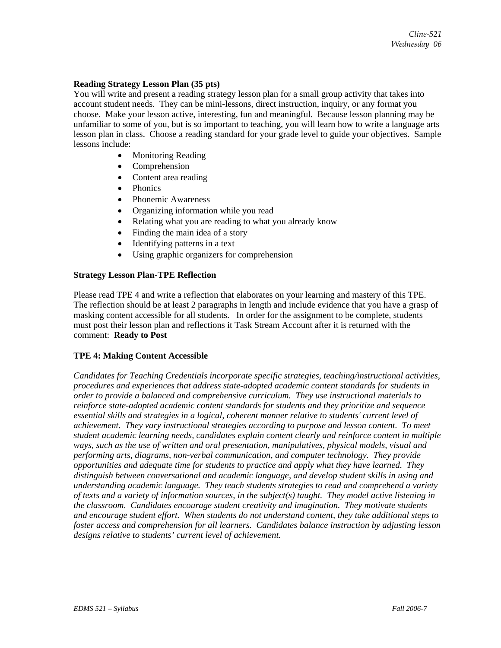## **Reading Strategy Lesson Plan (35 pts)**

You will write and present a reading strategy lesson plan for a small group activity that takes into account student needs. They can be mini-lessons, direct instruction, inquiry, or any format you choose. Make your lesson active, interesting, fun and meaningful. Because lesson planning may be unfamiliar to some of you, but is so important to teaching, you will learn how to write a language arts lesson plan in class. Choose a reading standard for your grade level to guide your objectives. Sample lessons include:

- Monitoring Reading
- Comprehension
- Content area reading
- Phonics
- Phonemic Awareness
- Organizing information while you read
- Relating what you are reading to what you already know
- Finding the main idea of a story
- Identifying patterns in a text
- Using graphic organizers for comprehension

# **Strategy Lesson Plan-TPE Reflection**

Please read TPE 4 and write a reflection that elaborates on your learning and mastery of this TPE. The reflection should be at least 2 paragraphs in length and include evidence that you have a grasp of masking content accessible for all students. In order for the assignment to be complete, students must post their lesson plan and reflections it Task Stream Account after it is returned with the comment: **Ready to Post**

# **TPE 4: Making Content Accessible**

*Candidates for Teaching Credentials incorporate specific strategies, teaching/instructional activities, procedures and experiences that address state-adopted academic content standards for students in order to provide a balanced and comprehensive curriculum. They use instructional materials to reinforce state-adopted academic content standards for students and they prioritize and sequence essential skills and strategies in a logical, coherent manner relative to students' current level of achievement. They vary instructional strategies according to purpose and lesson content. To meet student academic learning needs, candidates explain content clearly and reinforce content in multiple ways, such as the use of written and oral presentation, manipulatives, physical models, visual and performing arts, diagrams, non-verbal communication, and computer technology. They provide opportunities and adequate time for students to practice and apply what they have learned. They distinguish between conversational and academic language, and develop student skills in using and understanding academic language. They teach students strategies to read and comprehend a variety of texts and a variety of information sources, in the subject(s) taught. They model active listening in the classroom. Candidates encourage student creativity and imagination. They motivate students and encourage student effort. When students do not understand content, they take additional steps to foster access and comprehension for all learners. Candidates balance instruction by adjusting lesson designs relative to students' current level of achievement.*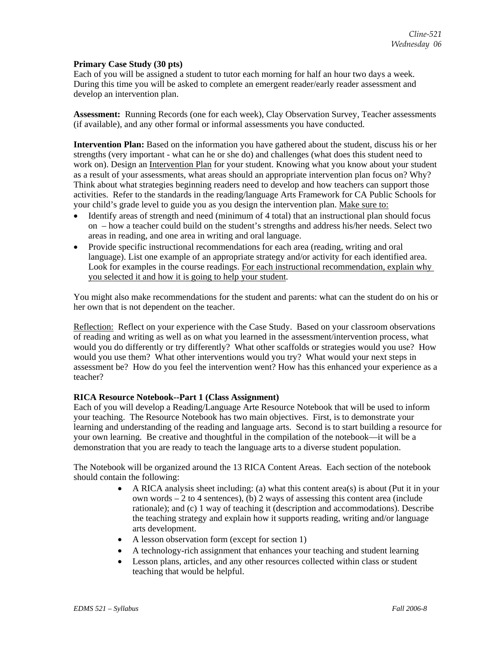## **Primary Case Study (30 pts)**

Each of you will be assigned a student to tutor each morning for half an hour two days a week. During this time you will be asked to complete an emergent reader/early reader assessment and develop an intervention plan.

**Assessment:** Running Records (one for each week), Clay Observation Survey, Teacher assessments (if available), and any other formal or informal assessments you have conducted.

**Intervention Plan:** Based on the information you have gathered about the student, discuss his or her strengths (very important - what can he or she do) and challenges (what does this student need to work on). Design an Intervention Plan for your student. Knowing what you know about your student as a result of your assessments, what areas should an appropriate intervention plan focus on? Why? Think about what strategies beginning readers need to develop and how teachers can support those activities. Refer to the standards in the reading/language Arts Framework for CA Public Schools for your child's grade level to guide you as you design the intervention plan. Make sure to:

- Identify areas of strength and need (minimum of 4 total) that an instructional plan should focus on – how a teacher could build on the student's strengths and address his/her needs. Select two areas in reading, and one area in writing and oral language.
- Provide specific instructional recommendations for each area (reading, writing and oral language). List one example of an appropriate strategy and/or activity for each identified area. Look for examples in the course readings. For each instructional recommendation, explain why you selected it and how it is going to help your student.

You might also make recommendations for the student and parents: what can the student do on his or her own that is not dependent on the teacher.

Reflection: Reflect on your experience with the Case Study. Based on your classroom observations of reading and writing as well as on what you learned in the assessment/intervention process, what would you do differently or try differently? What other scaffolds or strategies would you use? How would you use them? What other interventions would you try? What would your next steps in assessment be? How do you feel the intervention went? How has this enhanced your experience as a teacher?

## **RICA Resource Notebook--Part 1 (Class Assignment)**

Each of you will develop a Reading/Language Arte Resource Notebook that will be used to inform your teaching. The Resource Notebook has two main objectives. First, is to demonstrate your learning and understanding of the reading and language arts. Second is to start building a resource for your own learning. Be creative and thoughtful in the compilation of the notebook—it will be a demonstration that you are ready to teach the language arts to a diverse student population.

The Notebook will be organized around the 13 RICA Content Areas. Each section of the notebook should contain the following:

- A RICA analysis sheet including: (a) what this content area(s) is about (Put it in your own words – 2 to 4 sentences), (b) 2 ways of assessing this content area (include rationale); and (c) 1 way of teaching it (description and accommodations). Describe the teaching strategy and explain how it supports reading, writing and/or language arts development.
- A lesson observation form (except for section 1)
- A technology-rich assignment that enhances your teaching and student learning
- Lesson plans, articles, and any other resources collected within class or student teaching that would be helpful.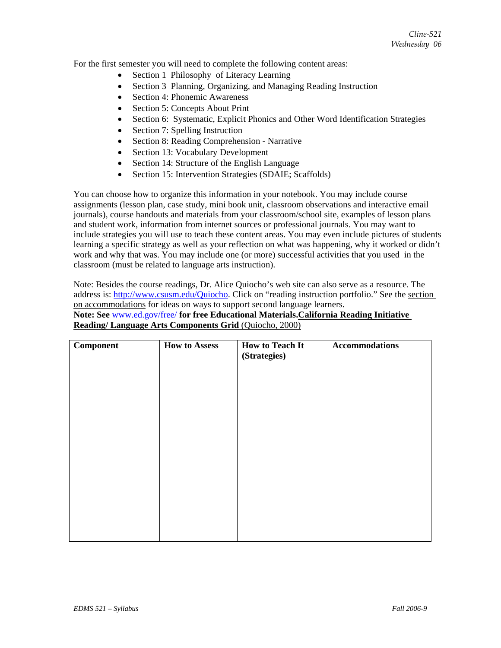For the first semester you will need to complete the following content areas:

- Section 1 Philosophy of Literacy Learning
- Section 3 Planning, Organizing, and Managing Reading Instruction
- Section 4: Phonemic Awareness
- Section 5: Concepts About Print
- Section 6: Systematic, Explicit Phonics and Other Word Identification Strategies
- Section 7: Spelling Instruction
- Section 8: Reading Comprehension Narrative
- Section 13: Vocabulary Development
- Section 14: Structure of the English Language
- Section 15: Intervention Strategies (SDAIE; Scaffolds)

You can choose how to organize this information in your notebook. You may include course assignments (lesson plan, case study, mini book unit, classroom observations and interactive email journals), course handouts and materials from your classroom/school site, examples of lesson plans and student work, information from internet sources or professional journals. You may want to include strategies you will use to teach these content areas. You may even include pictures of students learning a specific strategy as well as your reflection on what was happening, why it worked or didn't work and why that was. You may include one (or more) successful activities that you used in the classroom (must be related to language arts instruction).

Note: Besides the course readings, Dr. Alice Quiocho's web site can also serve as a resource. The address is: http://www.csusm.edu/Quiocho. Click on "reading instruction portfolio." See the section on accommodations for ideas on ways to support second language learners.

**Note: See** www.ed.gov/free/ **for free Educational Materials.California Reading Initiative Reading/ Language Arts Components Grid** (Quiocho, 2000)

| <b>Component</b> | <b>How to Assess</b> | <b>How to Teach It</b><br>(Strategies) | <b>Accommodations</b> |
|------------------|----------------------|----------------------------------------|-----------------------|
|                  |                      |                                        |                       |
|                  |                      |                                        |                       |
|                  |                      |                                        |                       |
|                  |                      |                                        |                       |
|                  |                      |                                        |                       |
|                  |                      |                                        |                       |
|                  |                      |                                        |                       |
|                  |                      |                                        |                       |
|                  |                      |                                        |                       |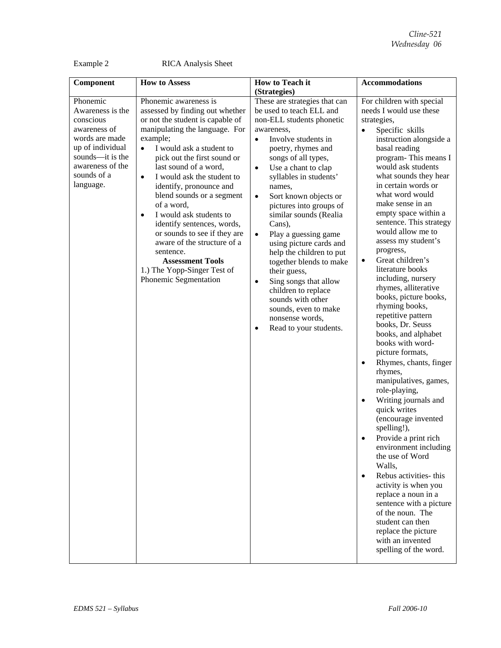Example 2 RICA Analysis Sheet

| Component                                                                                                                                                           | <b>How to Assess</b>                                                                                                                                                                                                                                                                                                                                                                                                                                                                                                                                                                              | How to Teach it                                                                                                                                                                                                                                                                                                                                                                                                                                                                                                                                                                                                                                               | <b>Accommodations</b>                                                                                                                                                                                                                                                                                                                                                                                                                                                                                                                                                                                                                                                                                                                                                                                                                                                                                                                                                                                                                                                                                              |
|---------------------------------------------------------------------------------------------------------------------------------------------------------------------|---------------------------------------------------------------------------------------------------------------------------------------------------------------------------------------------------------------------------------------------------------------------------------------------------------------------------------------------------------------------------------------------------------------------------------------------------------------------------------------------------------------------------------------------------------------------------------------------------|---------------------------------------------------------------------------------------------------------------------------------------------------------------------------------------------------------------------------------------------------------------------------------------------------------------------------------------------------------------------------------------------------------------------------------------------------------------------------------------------------------------------------------------------------------------------------------------------------------------------------------------------------------------|--------------------------------------------------------------------------------------------------------------------------------------------------------------------------------------------------------------------------------------------------------------------------------------------------------------------------------------------------------------------------------------------------------------------------------------------------------------------------------------------------------------------------------------------------------------------------------------------------------------------------------------------------------------------------------------------------------------------------------------------------------------------------------------------------------------------------------------------------------------------------------------------------------------------------------------------------------------------------------------------------------------------------------------------------------------------------------------------------------------------|
|                                                                                                                                                                     |                                                                                                                                                                                                                                                                                                                                                                                                                                                                                                                                                                                                   | (Strategies)                                                                                                                                                                                                                                                                                                                                                                                                                                                                                                                                                                                                                                                  |                                                                                                                                                                                                                                                                                                                                                                                                                                                                                                                                                                                                                                                                                                                                                                                                                                                                                                                                                                                                                                                                                                                    |
| Phonemic<br>Awareness is the<br>conscious<br>awareness of<br>words are made<br>up of individual<br>sounds-it is the<br>awareness of the<br>sounds of a<br>language. | Phonemic awareness is<br>assessed by finding out whether<br>or not the student is capable of<br>manipulating the language. For<br>example;<br>I would ask a student to<br>$\bullet$<br>pick out the first sound or<br>last sound of a word,<br>I would ask the student to<br>$\bullet$<br>identify, pronounce and<br>blend sounds or a segment<br>of a word,<br>I would ask students to<br>$\bullet$<br>identify sentences, words,<br>or sounds to see if they are<br>aware of the structure of a<br>sentence.<br><b>Assessment Tools</b><br>1.) The Yopp-Singer Test of<br>Phonemic Segmentation | These are strategies that can<br>be used to teach ELL and<br>non-ELL students phonetic<br>awareness,<br>Involve students in<br>$\bullet$<br>poetry, rhymes and<br>songs of all types,<br>Use a chant to clap<br>$\bullet$<br>syllables in students'<br>names,<br>Sort known objects or<br>$\bullet$<br>pictures into groups of<br>similar sounds (Realia<br>Cans),<br>Play a guessing game<br>$\bullet$<br>using picture cards and<br>help the children to put<br>together blends to make<br>their guess,<br>Sing songs that allow<br>٠<br>children to replace<br>sounds with other<br>sounds, even to make<br>nonsense words,<br>Read to your students.<br>٠ | For children with special<br>needs I would use these<br>strategies,<br>Specific skills<br>instruction alongside a<br>basal reading<br>program-This means I<br>would ask students<br>what sounds they hear<br>in certain words or<br>what word would<br>make sense in an<br>empty space within a<br>sentence. This strategy<br>would allow me to<br>assess my student's<br>progress,<br>Great children's<br>$\bullet$<br>literature books<br>including, nursery<br>rhymes, alliterative<br>books, picture books,<br>rhyming books,<br>repetitive pattern<br>books, Dr. Seuss<br>books, and alphabet<br>books with word-<br>picture formats,<br>Rhymes, chants, finger<br>rhymes,<br>manipulatives, games,<br>role-playing,<br>Writing journals and<br>quick writes<br>(encourage invented<br>spelling!),<br>Provide a print rich<br>environment including<br>the use of Word<br>Walls,<br>Rebus activities- this<br>$\bullet$<br>activity is when you<br>replace a noun in a<br>sentence with a picture<br>of the noun. The<br>student can then<br>replace the picture<br>with an invented<br>spelling of the word. |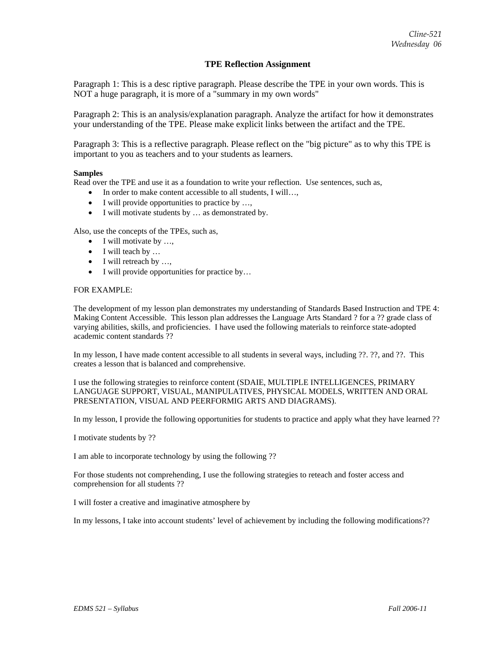## **TPE Reflection Assignment**

Paragraph 1: This is a desc riptive paragraph. Please describe the TPE in your own words. This is NOT a huge paragraph, it is more of a "summary in my own words"

Paragraph 2: This is an analysis/explanation paragraph. Analyze the artifact for how it demonstrates your understanding of the TPE. Please make explicit links between the artifact and the TPE.

Paragraph 3: This is a reflective paragraph. Please reflect on the "big picture" as to why this TPE is important to you as teachers and to your students as learners.

#### **Samples**

Read over the TPE and use it as a foundation to write your reflection. Use sentences, such as,

- In order to make content accessible to all students, I will...,
- I will provide opportunities to practice by ...,
- I will motivate students by ... as demonstrated by.

Also, use the concepts of the TPEs, such as,

- I will motivate by ...,
- I will teach by ...
- I will retreach by ...,
- I will provide opportunities for practice by...

#### FOR EXAMPLE:

The development of my lesson plan demonstrates my understanding of Standards Based Instruction and TPE 4: Making Content Accessible. This lesson plan addresses the Language Arts Standard ? for a ?? grade class of varying abilities, skills, and proficiencies. I have used the following materials to reinforce state-adopted academic content standards ??

In my lesson, I have made content accessible to all students in several ways, including ??. ??, and ??. This creates a lesson that is balanced and comprehensive.

I use the following strategies to reinforce content (SDAIE, MULTIPLE INTELLIGENCES, PRIMARY LANGUAGE SUPPORT, VISUAL, MANIPULATIVES, PHYSICAL MODELS, WRITTEN AND ORAL PRESENTATION, VISUAL AND PEERFORMIG ARTS AND DIAGRAMS).

In my lesson, I provide the following opportunities for students to practice and apply what they have learned ??

I motivate students by ??

I am able to incorporate technology by using the following ??

For those students not comprehending, I use the following strategies to reteach and foster access and comprehension for all students ??

I will foster a creative and imaginative atmosphere by

In my lessons, I take into account students' level of achievement by including the following modifications??